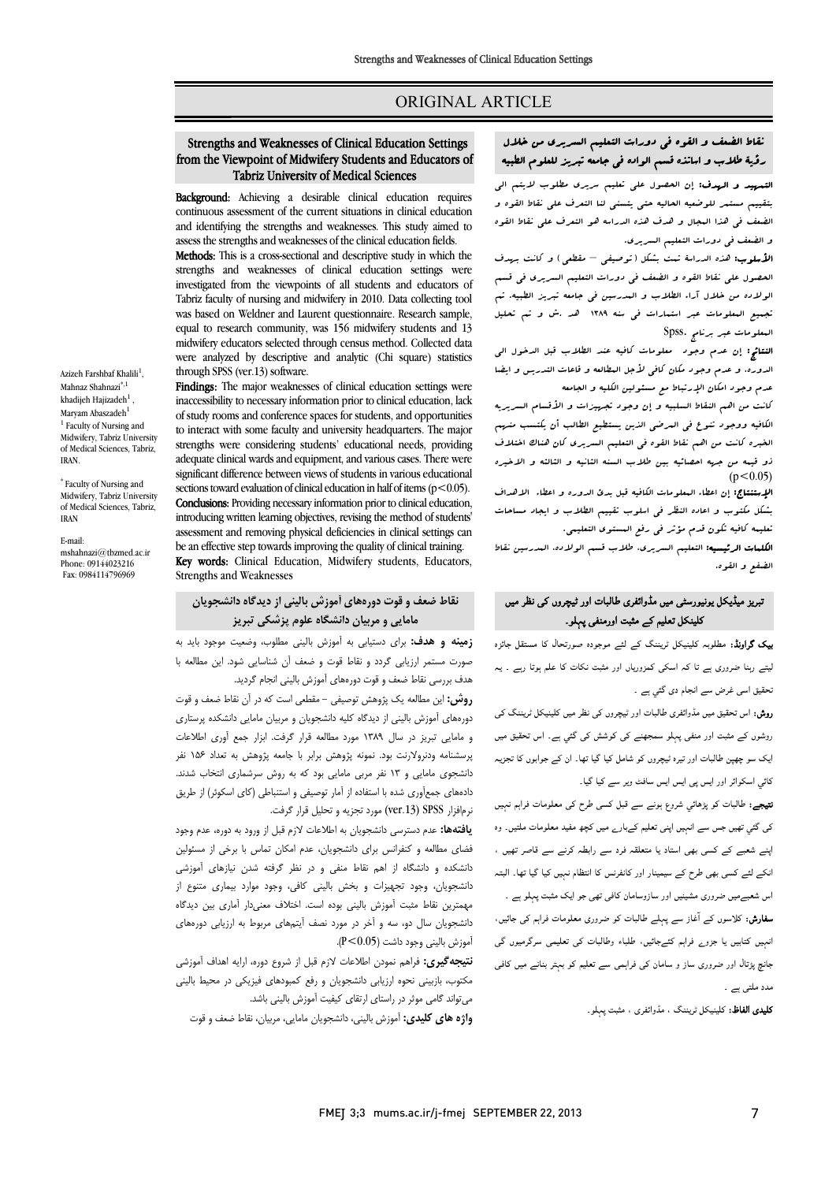### ORIGINAL ARTICLE

# j نقاط الضعف و القوه فی دورات التعلیم السریری من خلال<br>مقصدان مستقلین من تقسیم من خلال من منصوب من التعلیم العام رؤیۀ طلاب و اساتذه قسم الواده فی جامعه تبریز للعلوم الطبیه

Ī  $\overline{a}$ 

ا**لتسهید و الهدف:** إن الحصول علی تعلیم سریری مطلوب لایتم الی<br>. بتنبینم مستنمر نتوشتیه المبانیه ملتی یسسی منا التعرف علی خاط القوه و<br>لضعف فی هذا البجال و هدف هذه الدراسه هو التعرف علی نقاط القوه و الضعف فی دورات التعلیم السریري. بتقییم مستمر للوضعیه الحالیه حتی یتسنی لنا التعرف علی نقاط القوه و

 الأسلوب: هذه الدراسۀ تمت بشکل (توصیفی – مقطعی) و کانت بهدف الحصول علی نقاط القوه و الضعف فی دورات التعلیم السریري فی قسم الولاده من خلال آراء الطلاب و المدرسین فی جامعه تبریز الطبیه. تم تجمیع المعلومات عبر استمارات فی سنه 1389 هد .ش و تم تحلیل المعلومات عبر برنامج .Spss

 النتائج: إن عدم وجود معلومات کافیه عند الطلاب قبل الدخول الی الدوره، و عدم وجود مکان کافی لأجل المطالعه و قاعات التدریس و ایضا عدم وجود امکان الإرتباط مع مستولین الکلیه و الجامعه<br>در

 الکافیه ووجود تنوع فی المرضی الذین یستطیع الطالب أن یکتسب منهم الخبره کانت من اهم نقاط القوه فی التعلیم السریري کان هناك اختلاف ذو قیمه من جهه احصائیه بین طلاب السنه الثانیه و الثالثه و الاخیره کانت من اهم النقاط السلبیه و إن وجود تجهیزات و الأقسام السریریه  $(p<0.05)$ 

ا**لإستنتاج:** إن اعطاء البعلومات الکافیه قبل بدئ الدوره و اعطاء الاهداف<br>. بشکل مکتوب و اعاده النظر فی اسلوب تقییم الطلاب و ایجاد مساحات تعلیمه کافیه تکون قدم مؤثر فی رفع المستوي التعلیمی.

Ĩ. ا**لکلمات الرئیسیه:** التعلیم السریری، طلاب قسم الولاده، المدرسین نقاط<br>اخفر مسالق الضفع و القوه.

## نبریز میڈیکل یونیورسٹی میں مڈوائفری طالبات اور ٹیچروں کی نظر میں کلینکل تعلیم کے مثبت اورمنفی پہلو۔

**یک گراونڈ:** مطلوبہ کلینیکل ٹریننگ کے لئے موجودہ صورتحال کا مستقل جائزہ لیتے رہنا ضروری ہے تا کہ اسکی کمزوریاں اور مثبت نکات کا علم ہوتا رہے ۔ یہ ۔<br>نحقیق اسی غرض سے انجام دی گئي ہے ۔

ر**وش:** اس تحقیق میں مڈوائفری طالبات اور ٹیچروں کی نظر میں کلینیکل ٹریننگ کی<br>۔ <sub>ز</sub>وشوں کے مثبت اور منفی پہلو سمجھنے کی کوشش کی گئي ہے۔ اس تحقیق میں<br>۔ یک سو چھپن طالبات اور تیرہ ٹیچروں کو شامل کیا گیا تھا۔ ان کے جوابوں کا تجزیہ کائي اسکوائر اور ايس پی ايس ايس سافٹ وير سے کيا گيا۔

**نتیجے:** طالبات کو پڑہائي شروع ہونے سے قبل کسی طرح کی معلومات فراہم نہیں کی گئي تھیں جس سے انہیں اپنی تعلیم کےبارے میں کچھ مفید معلومات ملتیں۔ وہ .<br>اپنے شعبے کے کسی بھی استاد یا متعلقہ فرد سے رابطہ کرنے سے قاصر تھیں ، ۔<br>انکے لئے کسی بھی طرح کے سیمینار اور کانفرنس کا انتظام نہیں کیا گیا تھا۔ البتہ

اس شعبےمیں ضروری مشینیں اور سازوسامان کافی تھی جو ایک مثبت پہلو ہے ۔<br>۔ **سفارش:** کلاسوں کے آغاز سے پہلے طالبات کو ضروری معلومات فراہم کی جائیں،<br>. انہیں کتابیں یا جزو<sub>ے</sub> فراہم کئےجائیں، طلباء وطالبات کی تعلیمی سرگرمیوں گی<br>۔ جانچ پڑتال اور ضروری ساز و سامان کی فراہمی سے تعلیم کو بہتر بنانے میں کافی<br>۔ مدد ملتی ہے ۔

**کلیدی الفاظ:** کلینیکل ٹریننگ ، مڈوائفری ، مثبت پہلو۔

#### from the Viewpoint of Midwifery Students and Educators of Tabriz University of Medical Sciences Strengths and Weaknesses of Clinical Education Settings

Ī 

Background: Achieving a desirable clinical education requires continuous assessment of the current situations in clinical education and identifying the strengths and weaknesses. This study aimed to assess the strengths and weaknesses of the slighted advection fields. assess the strengths and weaknesses of the clinical education fields.

Methods: This is a cross-sectional and descriptive study in which the strengths and weaknesses of clinical education settings were Tabriz faculty of nursing and midwifery in 2010. Data collecting tool was based on Weldner and Laurent questionnaire. Research sample, equal to research community, was 156 midwifery students and 13 were analyzed by descriptive and analytic (Chi square) statistics investigated from the viewpoints of all students and educators of midwifery educators selected through census method. Collected data through SPSS (ver.13) software.

through SPSS (ver.13) software.<br>**Findings:** The major weaknesses of clinical education settings were indings. The major weaknesses or eminear education settings were<br>inaccessibility to necessary information prior to clinical education, lack of study rooms and conference spaces for students, and opportunities to interact with some faculty and university neadquarters. The major<br>strengths were considering students' educational needs, providing adequate clinical wards and equipment, and various cases. There were significant difference between views of students in various educational Conclusions: Providing necessary information prior to clinical education, introducing written learning objectives, revising the method of students' assessment and removing physical deliciencies in clinical settings cases<br>be an effective step towards improving the quality of clinical training. Key words: Clinical Education, Midwifery students, Educators, to interact with some faculty and university headquarters. The major sections toward evaluation of clinical education in half of items ( $p$  < 0.05). assessment and removing physical deficiencies in clinical settings can Strengths and Weaknesses

# **نقاط ضعف و قوت دورههاي آموزش بالینی از دیدگاه دانشجویان مامایی و مربیان دانشگاه علوم پزشکی تبریز**

 **زمینه و هدف:** براي دستیابی به آموزش بالینی مطلوب، وضعیت موجود باید به صورت مستمر ارزیابی گردد و نقاط قوت و ضعف آن شناسایی شود. این مطالعه با هدف بررسی نقاط ضعف و قوت دورههاي آموزش بالینی انجام گردید.

 **روش:** این مطالعه یک پژوهش توصیفی - مقطعی است که در آن نقاط ضعف و قوت دورههاي آموزش بالینی از دیدگاه کلیه دانشجویان و مربیان مامایی دانشکده پرستاري و مامایی تبریز در سال 1389 مورد مطالعه قرار گرفت. ابزار جمع آوري اطلاعات پرسشنامه ودنرولارنت بود. نمونه پژوهش برابر با جامعه پژوهش به تعداد 156 نفر دستبوی شدی و ۲۰۰ متر مربی شدی بود و ۲۰۰ به روس شرستمری شده به سمند.<br>دادههای جمعآوری شده با استفاده از آمار توصیفی و استنباطی (کای اسکوئر) از طریق نرمافزار SPSS) .13ver (مورد تجزیه و تحلیل قرار گرفت. دانشجوي مامایی و 13 نفر مربی مامایی بود که به روش سرشماري انتخاب شدند.

 **یافتهها:** عدم دسترسی دانشجویان به اطلاعات لازم قبل از ورود به دوره، عدم وجود فضاي مطالعه و کنفرانس براي دانشجویان، عدم امکان تماس با برخی از مسئولین دانشکده و دانشگاه از اهم نقاط منفی و در نظر گرفته شدن نیازهاي آموزشی دانشجویان، وجود تجهیزات و بخش بالینی کافی، وجود موارد بیماري متنوع از مهمترین نقاط مثبت آموزش بالینی بوده است. اختلاف معنیدار آماري بین دیدگاه دانشجویان سال دو، سه و آخر در مورد نصف آیتمهاي مربوط به ارزیابی دورههاي آموزش بالینی وجود داشت (0.05>P(.

 **نتیجهگیري:** فراهم نمودن اطلاعات لازم قبل از شروع دوره، ارایه اهداف آموزشی مکتوب، بازبینی نحوه ارزیابی دانشجویان و رفع کمبودهاي فیزیکی در محیط بالینی .<br>. میتواند گامی موثر در راستاي ارتقاي کیفیت آموزش بالینی باشد.

**واژه هاي کلیدي:** آموزش بالینی، دانشجویان مامایی، مربیان، نقاط ضعف و قوت

Azizeh Farshbaf Khalili<sup>1</sup>, Mahnaz Shahnazi<sup>\*,1</sup> khadijeh Hajizadeh $^1$ Maryam Abaszadeh<sup>1</sup> <sup>1</sup> Faculty of Nursing and Midwifery, Tabriz University of Medical Sciences, Tabriz, IRAN.

\* Faculty of Nursing and Midwifery, Tabriz University of Medical Sciences, Tabriz, IRAN

E-mail: mshahnazi@tbzmed.ac.ir Phone: 09144023216 Fax: 0984114796969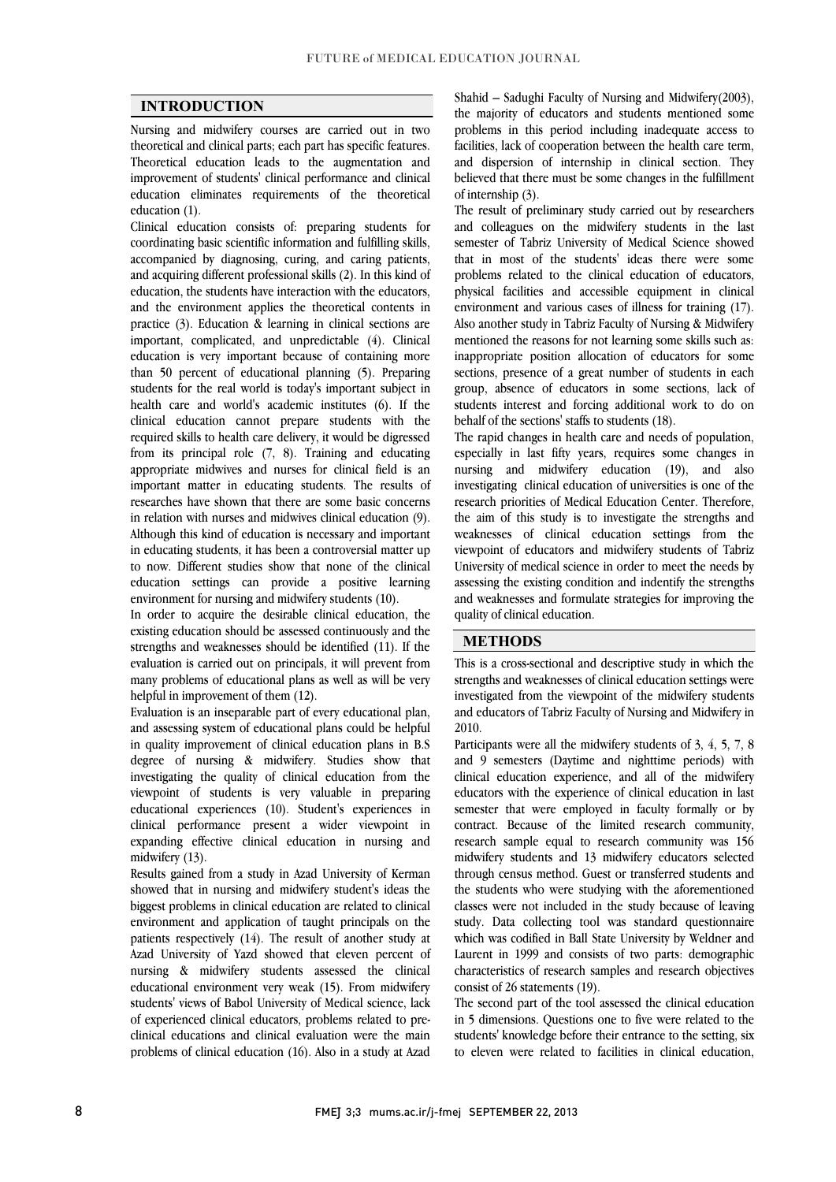$\overline{a}$  $\overline{a}$ 

### **INTRODUCTION**

 Nursing and midwifery courses are carried out in two theoretical and clinical parts; each part has specific features. improvement of students' clinical performance and clinical education eliminates requirements of the theoretical Theoretical education leads to the augmentation and education (1).

 Clinical education consists of: preparing students for accompanied by diagnosing, curing, and caring patients, and acquiring different professional skills (2). In this kind of education, the students have interaction with the educators, and the environment applies the theoretical contents in important, complicated, and unpredictable (4). Clinical education is very important because of containing more than 50 percent of educational planning (5). Preparing students for the real world is today's important subject in<br>health, see and world's association institutes  $\frac{1}{2}$ . If the clinical education cannot prepare students with the required skills to health care delivery, it would be digressed from its principal role (7, 8). Training and educating important matter in educating students. The results of researches have shown that there are some basic concerns in relation with nurses and midwives clinical education (9). Although this kind of education is necessary and important to now. Different studies show that none of the clinical education settings can provide a positive learning coordinating basic scientific information and fulfilling skills, practice (3). Education & learning in clinical sections are health care and world's academic institutes (6). If the appropriate midwives and nurses for clinical field is an in educating students, it has been a controversial matter up environment for nursing and midwifery students (10).

 In order to acquire the desirable clinical education, the strengths and weaknesses should be identified (11). If the evaluation is carried out on principals, it will prevent from many problems of educational plans as well as will be very existing education should be assessed continuously and the helpful in improvement of them (12).

neipiui in improvement of them (12).<br>Evaluation is an inseparable part of every educational plan, and assessing system of educational plans could be helpful in quality improvement of clinical education plans in B.S degree of nursing & midwifery. Studies show that viewpoint of students is very valuable in preparing educational experiences (10). Student's experiences in clinical performance present a wider viewpoint in expanding effective clinical education in nursing and investigating the quality of clinical education from the midwifery  $(13)$ .

 Results gained from a study in Azad University of Kerman showed that in nursing and midwifery student's ideas the biggest problems in clinical education are related to clinical environment and application of taught principals on the Azad University of Yazd showed that eleven percent of nursing & midwifery students assessed the clinical educational environment very weak (15). From midwifery students' views of Babol University of Medical science, lack clinical educations and clinical evaluation were the main problems of clinical education (16). Also in a study at Azad patients respectively (14). The result of another study at of experienced clinical educators, problems related to pre-

 the majority of educators and students mentioned some problems in this period including inadequate access to facilities, lack of cooperation between the health care term, believed that there must be some changes in the fulfillment Shahid – Sadughi Faculty of Nursing and Midwifery(2003), and dispersion of internship in clinical section. They of internship (3).

 The result of preliminary study carried out by researchers and colleagues on the midwifery students in the last that in most of the students' ideas there were some problems related to the clinical education of educators, physical facilities and accessible equipment in clinical Also another study in Tabriz Faculty of Nursing & Midwifery mentioned the reasons for not learning some skills such as: inappropriate position allocation of educators for some sections, presence of a great number of students in each .<br>. semester of Tabriz University of Medical Science showed environment and various cases of illness for training (17). group, absence of educators in some sections, lack of students interest and forcing additional work to do on behalf of the sections' staffs to students (18).

 The rapid changes in health care and needs of population, especially in last fifty years, requires some changes in investigating clinical education of universities is one of the research priorities of Medical Education Center. Therefore, the aim of this study is to investigate the strengths and weaknesses of clinical education settings from the University of medical science in order to meet the needs by assessing the existing condition and indentify the strengths and weaknesses and formulate strategies for improving the nursing and midwifery education (19), and also viewpoint of educators and midwifery students of Tabriz quality of clinical education.

#### **METHODS**

 This is a cross-sectional and descriptive study in which the strengths and weaknesses of clinical education settings were יי<br>י and educators of Tabriz Faculty of Nursing and Midwifery in investigated from the viewpoint of the midwifery students 2010.

Participants were all the midwifery students of 3, 4, 5, 7, 8 Participants were all the midwifery students of 3, 4, 5, 7, 8 and 9 semesters (Daytime and nighttime periods) with educators with the experience of clinical education in last semester that were employed in faculty formally or by contract. Because of the limited research community, research sample equal to research community was 156 through census method. Guest or transferred students and the students who were studying with the aforementioned classes were not included in the study because of leaving study. Data collecting tool was standard questionnaire Laurent in 1999 and consists of two parts: demographic characteristics of research samples and research objectives clinical education experience, and all of the midwifery midwifery students and 13 midwifery educators selected which was codified in Ball State University by Weldner and consist of 26 statements (19).

 The second part of the tool assessed the clinical education students' knowledge before their entrance to the setting, six to eleven were related to facilities in clinical education, in 5 dimensions. Questions one to five were related to the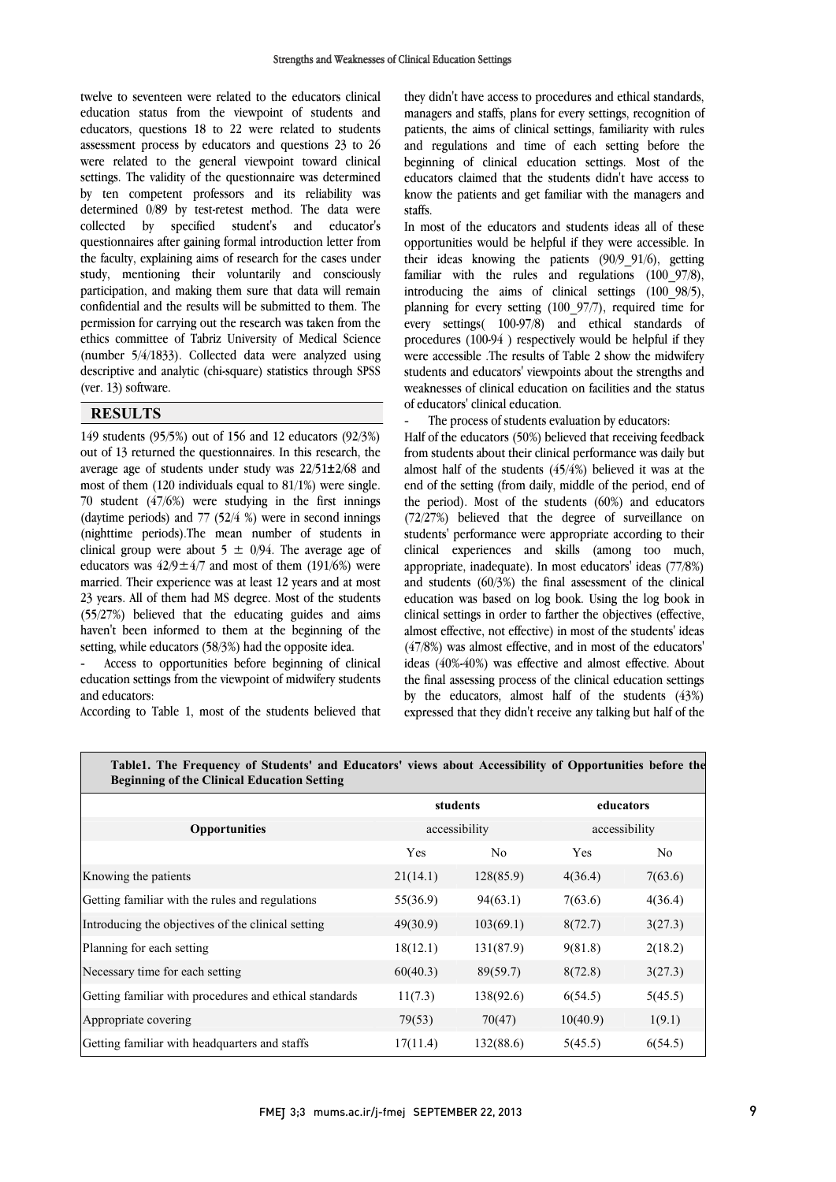$\overline{a}$ 

 twelve to seventeen were related to the educators clinical education status from the viewpoint of students and educators, questions 18 to 22 were related to students assessment process by educators and questions 23 to 26 settings. The validity of the questionnaire was determined by ten competent professors and its reliability was determined 0/89 by test-retest method. The data were collected by specified students and educators<br>questionnaires after gaining formal introduction letter from the faculty, explaining aims of research for the cases under study, mentioning their voluntarily and consciously participation, and making them sure that data will remain permission for carrying out the research was taken from the ethics committee of Tabriz University of Medical Science (number 5/4/1833). Collected data were analyzed using descriptive and analytic (chi-square) statistics through SPSS  $\overline{a}$ were related to the general viewpoint toward clinical collected by specified student's and educator's confidential and the results will be submitted to them. The (ver. 13) software.

#### **RESULTS**

 149 students (95/5%) out of 156 and 12 educators (92/3%) out of 13 returned the questionnaires. In this research, the most of them  $(120 \text{ individuals equal to } 81/1\%)$  were single. 70 student  $(47/6%)$  were studying in the first innings (daytime periods) and 77 (52/4 %) were in second innings (nighttime periods).The mean number of students in educators was  $42/9 \pm 4/7$  and most of them (191/6%) were married. Their experience was at least 12 years and at most 23 years. All of them had MS degree. Most of the students (55/27%) believed that the educating guides and aims haven't been informed to them at the beginning of the setting while educators (58/3%) had the opposite idea average age of students under study was 22/51±2/68 and clinical group were about  $5 \pm 0/94$ . The average age of setting, while educators (58/3%) had the opposite idea.

 - Access to opportunities before beginning of clinical education settings from the viewpoint of midwifery students and educators:

According to Table 1, most of the students believed that

 they didn't have access to procedures and ethical standards, managers and staffs, plans for every settings, recognition of patients, the aims of clinical settings, familiarity with rules and regulations and time of each setting before the educators claimed that the students didn't have access to beginning of clinical education settings. Most of the know the patients and get familiar with the managers and staffs.

In most of the educators and students ideas an of these<br>opportunities would be helpful if they were accessible. In their ideas knowing the patients (90/9\_91/6), getting familiar with the rules and regulations (100\_97/8), introducing the aims of clinical settings (100\_98/5), planning for every setting  $(100-97/7)$ , required time for every settings $(100-97/8)$  and ethical standards of procedures (100-94 ) respectively would be helpful if they were accessible .The results of Table 2 show the midwifery students and educators' viewpoints about the strengths and weaknesses of clinical education on facilities and the status<br>of educators' clinical education In most of the educators and students ideas all of these planning for every setting (100\_97/7), required time for of educators' clinical education.

- The process of students evaluation by educators:

 Half of the educators (50%) believed that receiving feedback from students about their clinical performance was daily but end of the setting (from daily, middle of the period, end of the period). Most of the students (60%) and educators (72/27%) believed that the degree of surveillance on students' performance were appropriate according to their appropriate, inadequate). In most educators' ideas (77/8%) and students (60/3%) the final assessment of the clinical education was based on log book. Using the log book in clinical settings in order to farther the objectives (effective, (47/8%) was almost effective, and in most of the educators' ideas (40%-40%) was effective and almost effective. About the final assessing process of the clinical education settings 。<br>- expressed that they didn't receive any talking but half of the almost half of the students (45/4%) believed it was at the clinical experiences and skills (among too much, almost effective, not effective) in most of the students' ideas by the educators, almost half of the students (43%)

| TableT. The Frequency of Students' and Educators' views about Accessibility of Opportunities before the<br><b>Beginning of the Clinical Education Setting</b> |          |                |               |         |  |  |  |  |  |  |
|---------------------------------------------------------------------------------------------------------------------------------------------------------------|----------|----------------|---------------|---------|--|--|--|--|--|--|
|                                                                                                                                                               |          | students       | educators     |         |  |  |  |  |  |  |
| <b>Opportunities</b>                                                                                                                                          |          | accessibility  | accessibility |         |  |  |  |  |  |  |
|                                                                                                                                                               | Yes      | N <sub>0</sub> | <b>Yes</b>    | No.     |  |  |  |  |  |  |
| Knowing the patients                                                                                                                                          | 21(14.1) | 128(85.9)      | 4(36.4)       | 7(63.6) |  |  |  |  |  |  |
| Getting familiar with the rules and regulations                                                                                                               | 55(36.9) | 94(63.1)       | 7(63.6)       | 4(36.4) |  |  |  |  |  |  |
| Introducing the objectives of the clinical setting                                                                                                            | 49(30.9) | 103(69.1)      | 8(72.7)       | 3(27.3) |  |  |  |  |  |  |
| Planning for each setting                                                                                                                                     | 18(12.1) | 131(87.9)      | 9(81.8)       | 2(18.2) |  |  |  |  |  |  |
| Necessary time for each setting                                                                                                                               | 60(40.3) | 89(59.7)       | 8(72.8)       | 3(27.3) |  |  |  |  |  |  |
| Getting familiar with procedures and ethical standards                                                                                                        | 11(7.3)  | 138(92.6)      | 6(54.5)       | 5(45.5) |  |  |  |  |  |  |
| Appropriate covering                                                                                                                                          | 79(53)   | 70(47)         | 10(40.9)      | 1(9.1)  |  |  |  |  |  |  |
| Getting familiar with headquarters and staffs                                                                                                                 | 17(11.4) | 132(88.6)      | 5(45.5)       | 6(54.5) |  |  |  |  |  |  |

#### $\mathcal{L}(\mathcal{A})$ Į **Table1. The Frequency of Students' and Educators' views about Accessibility of Opportunities before the**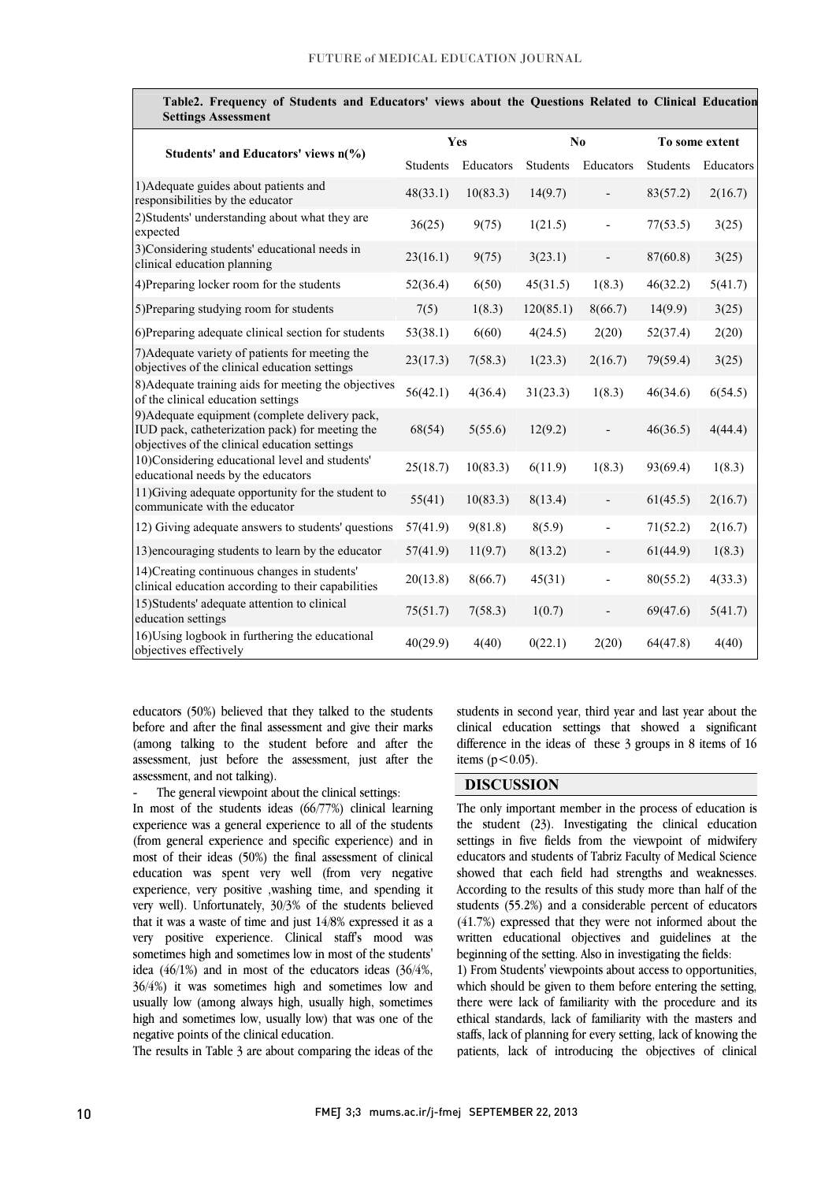|                                                                                                                                                    |                 | <b>Yes</b> |           | No                       | To some extent  |           |  |
|----------------------------------------------------------------------------------------------------------------------------------------------------|-----------------|------------|-----------|--------------------------|-----------------|-----------|--|
| Students' and Educators' views $n\binom{0}{0}$                                                                                                     | <b>Students</b> | Educators  | Students  | Educators                | <b>Students</b> | Educators |  |
| 1) Adequate guides about patients and<br>responsibilities by the educator                                                                          | 48(33.1)        | 10(83.3)   | 14(9.7)   |                          | 83(57.2)        | 2(16.7)   |  |
| 2) Students' understanding about what they are<br>expected                                                                                         | 36(25)          | 9(75)      | 1(21.5)   |                          | 77(53.5)        | 3(25)     |  |
| 3)Considering students' educational needs in<br>clinical education planning                                                                        | 23(16.1)        | 9(75)      | 3(23.1)   | $\overline{\phantom{a}}$ | 87(60.8)        | 3(25)     |  |
| 4) Preparing locker room for the students                                                                                                          | 52(36.4)        | 6(50)      | 45(31.5)  | 1(8.3)                   | 46(32.2)        | 5(41.7)   |  |
| 5) Preparing studying room for students                                                                                                            | 7(5)            | 1(8.3)     | 120(85.1) | 8(66.7)                  | 14(9.9)         | 3(25)     |  |
| 6) Preparing adequate clinical section for students                                                                                                | 53(38.1)        | 6(60)      | 4(24.5)   | 2(20)                    | 52(37.4)        | 2(20)     |  |
| 7) Adequate variety of patients for meeting the<br>objectives of the clinical education settings                                                   | 23(17.3)        | 7(58.3)    | 1(23.3)   | 2(16.7)                  | 79(59.4)        | 3(25)     |  |
| 8) Adequate training aids for meeting the objectives<br>of the clinical education settings                                                         | 56(42.1)        | 4(36.4)    | 31(23.3)  | 1(8.3)                   | 46(34.6)        | 6(54.5)   |  |
| 9) Adequate equipment (complete delivery pack,<br>IUD pack, catheterization pack) for meeting the<br>objectives of the clinical education settings | 68(54)          | 5(55.6)    | 12(9.2)   |                          | 46(36.5)        | 4(44.4)   |  |
| 10)Considering educational level and students'<br>educational needs by the educators                                                               | 25(18.7)        | 10(83.3)   | 6(11.9)   | 1(8.3)                   | 93(69.4)        | 1(8.3)    |  |
| 11) Giving adequate opportunity for the student to<br>communicate with the educator                                                                | 55(41)          | 10(83.3)   | 8(13.4)   |                          | 61(45.5)        | 2(16.7)   |  |
| 12) Giving adequate answers to students' questions                                                                                                 | 57(41.9)        | 9(81.8)    | 8(5.9)    | $\overline{\phantom{a}}$ | 71(52.2)        | 2(16.7)   |  |
| 13) encouraging students to learn by the educator                                                                                                  | 57(41.9)        | 11(9.7)    | 8(13.2)   |                          | 61(44.9)        | 1(8.3)    |  |
| 14) Creating continuous changes in students'<br>clinical education according to their capabilities                                                 | 20(13.8)        | 8(66.7)    | 45(31)    | $\blacksquare$           | 80(55.2)        | 4(33.3)   |  |
| 15) Students' adequate attention to clinical<br>education settings                                                                                 | 75(51.7)        | 7(58.3)    | 1(0.7)    |                          | 69(47.6)        | 5(41.7)   |  |
| 16) Using logbook in furthering the educational<br>objectives effectively                                                                          | 40(29.9)        | 4(40)      | 0(22.1)   | 2(20)                    | 64(47.8)        | 4(40)     |  |

| Table2. Frequency of Students and Educators' views about the Questions Related to Clinical Education |  |  |  |  |  |
|------------------------------------------------------------------------------------------------------|--|--|--|--|--|
| <b>Settings Assessment</b>                                                                           |  |  |  |  |  |

 educators (50%) believed that they talked to the students (among talking to the student before and after the assessment, just before the assessment, just after the before and after the final assessment and give their marks assessment, and not talking).

The general viewpoint about the clinical settings:

 In most of the students ideas (66/77%) clinical learning experience was a general experience to all of the students (from general experience and specific experience) and in education was spent very well (from very negative experience, very positive ,washing time, and spending it very well). Unfortunately, 30/3% of the students believed that it was a waste of time and just 14/8% expressed it as a sometimes high and sometimes low in most of the students' idea (46/1%) and in most of the educators ideas (36/4%, 36/4%) it was sometimes high and sometimes low and usually low (among always high, usually high, sometimes  $\frac{1}{2}$ high and sometimes low, usually low) that was one of the<br>negative points of the clinical education most of their ideas (50%) the final assessment of clinical very positive experience. Clinical staff's mood was negative points of the clinical education.

The results in Table 3 are about comparing the ideas of the

 students in second year, third year and last year about the clinical education settings that showed a significant difference in the ideas of these 3 groups in 8 items of 16 items ( $p < 0.05$ ).

#### **DISCUSSION**

 The only important member in the process of education is the student (23). Investigating the clinical education settings in five fields from the viewpoint of midwifery showed that each field had strengths and weaknesses. According to the results of this study more than half of the students (55.2%) and a considerable percent of educators (41.7%) expressed that they were not informed about the written educational objectives and guidelines at the<br>beginning of the setting Also in investigating the fields educators and students of Tabriz Faculty of Medical Science beginning of the setting. Also in investigating the fields:

 1) From Students' viewpoints about access to opportunities, which should be given to them before entering the setting, there were lack of familiarity with the procedure and its staffs, lack of planning for every setting, lack of knowing the patients, lack of introducing the objectives of clinical ethical standards, lack of familiarity with the masters and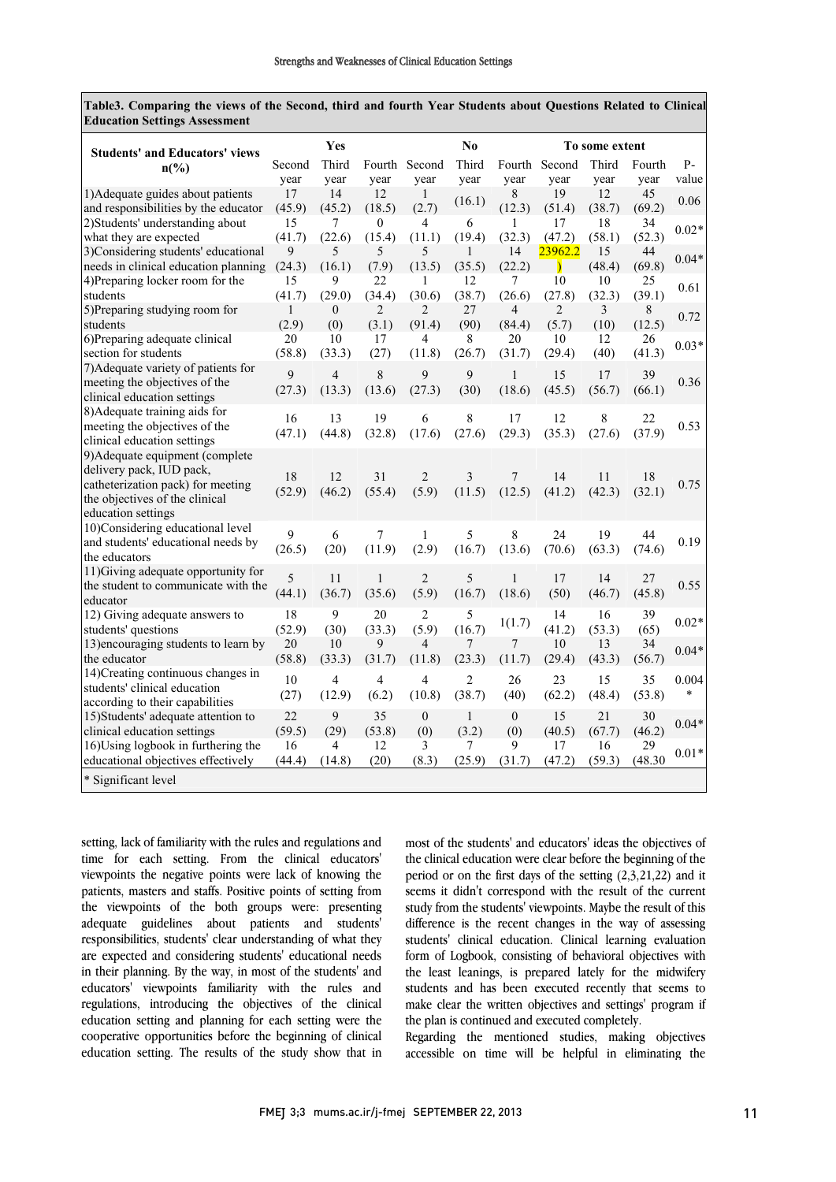**Table3. Comparing the views of the Second, third and fourth Year Students about Questions Related to Clinical Education Settings Assessment**

| <b>Students' and Educators' views</b>                                                                                                                    |                       | Yes                      |                         | N <sub>0</sub>           |                          |                          | To some extent           |                        |                |                 |
|----------------------------------------------------------------------------------------------------------------------------------------------------------|-----------------------|--------------------------|-------------------------|--------------------------|--------------------------|--------------------------|--------------------------|------------------------|----------------|-----------------|
| $n\binom{0}{0}$                                                                                                                                          | Second<br>vear        | Third<br>vear            | vear                    | Fourth Second<br>vear    | Third<br>year            | vear                     | Fourth Second<br>year    | Third<br>year          | Fourth<br>year | $P-$<br>value   |
| 1) Adequate guides about patients<br>and responsibilities by the educator                                                                                | 17<br>(45.9)          | 14<br>(45.2)             | 12<br>(18.5)            | 1<br>(2.7)               | (16.1)                   | 8<br>(12.3)              | 19<br>(51.4)             | 12<br>(38.7)           | 45<br>(69.2)   | 0.06            |
| 2) Students' understanding about<br>what they are expected                                                                                               | 15<br>(41.7)          | 7<br>(22.6)              | $\theta$<br>(15.4)      | 4<br>(11.1)              | 6<br>(19.4)              | 1<br>(32.3)              | 17<br>(47.2)             | 18<br>(58.1)           | 34<br>(52.3)   | $0.02*$         |
| 3)Considering students' educational<br>needs in clinical education planning                                                                              | 9<br>(24.3)           | 5<br>(16.1)              | 5<br>(7.9)              | 5<br>(13.5)              | 1<br>(35.5)              | 14<br>(22.2)             | 23962.2<br>$\mathcal{E}$ | 15<br>(48.4)           | 44<br>(69.8)   | $0.04*$         |
| 4) Preparing locker room for the<br>students                                                                                                             | 15<br>(41.7)          | 9<br>(29.0)              | 22<br>(34.4)            | 1<br>(30.6)              | 12<br>(38.7)             | 7<br>(26.6)              | 10<br>(27.8)             | 10<br>(32.3)           | 25<br>(39.1)   | 0.61            |
| 5) Preparing studying room for<br>students                                                                                                               | $\mathbf{1}$<br>(2.9) | $\theta$<br>(0)          | $\overline{2}$<br>(3.1) | $\overline{c}$<br>(91.4) | 27<br>(90)               | $\overline{4}$<br>(84.4) | $\overline{2}$<br>(5.7)  | $\overline{3}$<br>(10) | 8<br>(12.5)    | 0.72            |
| 6) Preparing adequate clinical<br>section for students                                                                                                   | 20<br>(58.8)          | 10<br>(33.3)             | 17<br>(27)              | 4<br>(11.8)              | 8<br>(26.7)              | 20<br>(31.7)             | 10<br>(29.4)             | 12<br>(40)             | 26<br>(41.3)   | $0.03*$         |
| 7) Adequate variety of patients for<br>meeting the objectives of the<br>clinical education settings                                                      | 9<br>(27.3)           | $\overline{4}$<br>(13.3) | 8<br>(13.6)             | 9<br>(27.3)              | 9<br>(30)                | $\mathbf{1}$<br>(18.6)   | 15<br>(45.5)             | 17<br>(56.7)           | 39<br>(66.1)   | 0.36            |
| 8) Adequate training aids for<br>meeting the objectives of the<br>clinical education settings                                                            | 16<br>(47.1)          | 13<br>(44.8)             | 19<br>(32.8)            | 6<br>(17.6)              | $\,8\,$<br>(27.6)        | 17<br>(29.3)             | 12<br>(35.3)             | $\,8\,$<br>(27.6)      | 22<br>(37.9)   | 0.53            |
| 9) Adequate equipment (complete<br>delivery pack, IUD pack,<br>catheterization pack) for meeting<br>the objectives of the clinical<br>education settings | 18<br>(52.9)          | 12<br>(46.2)             | 31<br>(55.4)            | $\overline{2}$<br>(5.9)  | 3<br>(11.5)              | 7<br>(12.5)              | 14<br>(41.2)             | 11<br>(42.3)           | 18<br>(32.1)   | 0.75            |
| 10)Considering educational level<br>and students' educational needs by<br>the educators                                                                  | 9<br>(26.5)           | 6<br>(20)                | 7<br>(11.9)             | $\mathbf{1}$<br>(2.9)    | 5<br>(16.7)              | 8<br>(13.6)              | 24<br>(70.6)             | 19<br>(63.3)           | 44<br>(74.6)   | 0.19            |
| 11) Giving adequate opportunity for<br>the student to communicate with the<br>educator                                                                   | 5<br>(44.1)           | 11<br>(36.7)             | $\mathbf{1}$<br>(35.6)  | $\overline{c}$<br>(5.9)  | 5<br>(16.7)              | $\mathbf{1}$<br>(18.6)   | 17<br>(50)               | 14<br>(46.7)           | 27<br>(45.8)   | 0.55            |
| 12) Giving adequate answers to<br>students' questions                                                                                                    | 18<br>(52.9)          | 9<br>(30)                | 20<br>(33.3)            | $\overline{2}$<br>(5.9)  | 5<br>(16.7)              | 1(1.7)                   | 14<br>(41.2)             | 16<br>(53.3)           | 39<br>(65)     | $0.02*$         |
| 13) encouraging students to learn by<br>the educator                                                                                                     | 20<br>(58.8)          | 10<br>(33.3)             | 9<br>(31.7)             | 4<br>(11.8)              | 7<br>(23.3)              | 7<br>(11.7)              | 10<br>(29.4)             | 13<br>(43.3)           | 34<br>(56.7)   | $0.04*$         |
| 14) Creating continuous changes in<br>students' clinical education<br>according to their capabilities                                                    | 10<br>(27)            | $\overline{4}$<br>(12.9) | $\overline{4}$<br>(6.2) | $\overline{4}$<br>(10.8) | $\overline{c}$<br>(38.7) | 26<br>(40)               | 23<br>(62.2)             | 15<br>(48.4)           | 35<br>(53.8)   | 0.004<br>$\ast$ |
| 15) Students' adequate attention to<br>clinical education settings                                                                                       | 22<br>(59.5)          | 9<br>(29)                | 35<br>(53.8)            | $\boldsymbol{0}$<br>(0)  | $\mathbf{1}$<br>(3.2)    | $\boldsymbol{0}$<br>(0)  | 15<br>(40.5)             | 21<br>(67.7)           | 30<br>(46.2)   | $0.04*$         |
| 16) Using logbook in furthering the<br>educational objectives effectively                                                                                | 16<br>(44.4)          | $\overline{4}$<br>(14.8) | 12<br>(20)              | 3<br>(8.3)               | 7<br>(25.9)              | 9<br>(31.7)              | 17<br>(47.2)             | 16<br>(59.3)           | 29<br>(48.30)  | $0.01*$         |
| * Significant level                                                                                                                                      |                       |                          |                         |                          |                          |                          |                          |                        |                |                 |

setting, lack of familiarity with the rules and regulations and time for each setting. From the clinical educators' viewpoints the negative points were lack of knowing the patients, masters and staffs. Positive points of setting from the viewpoints of the both groups were: presenting adequate guidelines about patients and students' responsibilities, students' clear understanding of what they are expected and considering students' educational needs in their planning. By the way, in most of the students' and educators' viewpoints familiarity with the rules and regulations, introducing the objectives of the clinical education setting and planning for each setting were the cooperative opportunities before the beginning of clinical education setting. The results of the study show that in most of the students' and educators' ideas the objectives of the clinical education were clear before the beginning of the period or on the first days of the setting (2,3,21,22) and it seems it didn't correspond with the result of the current study from the students' viewpoints. Maybe the result of this difference is the recent changes in the way of assessing students' clinical education. Clinical learning evaluation form of Logbook, consisting of behavioral objectives with the least leanings, is prepared lately for the midwifery students and has been executed recently that seems to make clear the written objectives and settings' program if the plan is continued and executed completely.

Regarding the mentioned studies, making objectives accessible on time will be helpful in eliminating the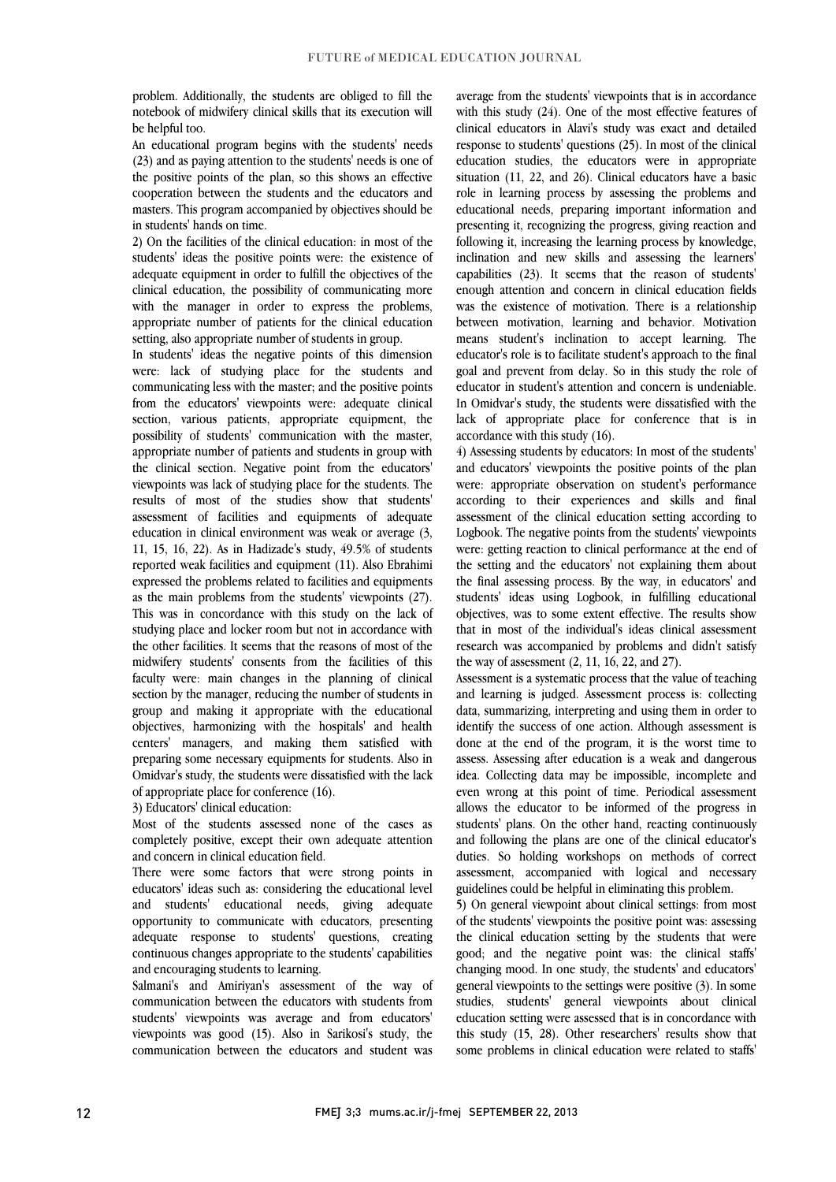problem. Additionally, the students are obliged to fill the notebook of midwifery clinical skills that its execution will be helpful too.

An educational program begins with the students' needs (23) and as paying attention to the students' needs is one of the positive points of the plan, so this shows an effective cooperation between the students and the educators and masters. This program accompanied by objectives should be in students' hands on time.

2) On the facilities of the clinical education: in most of the students' ideas the positive points were: the existence of adequate equipment in order to fulfill the objectives of the clinical education, the possibility of communicating more with the manager in order to express the problems, appropriate number of patients for the clinical education setting, also appropriate number of students in group.

In students' ideas the negative points of this dimension were: lack of studying place for the students and communicating less with the master; and the positive points from the educators' viewpoints were: adequate clinical section, various patients, appropriate equipment, the possibility of students' communication with the master, appropriate number of patients and students in group with the clinical section. Negative point from the educators' viewpoints was lack of studying place for the students. The results of most of the studies show that students' assessment of facilities and equipments of adequate education in clinical environment was weak or average (3, 11, 15, 16, 22). As in Hadizade's study, 49.5% of students reported weak facilities and equipment (11). Also Ebrahimi expressed the problems related to facilities and equipments as the main problems from the students' viewpoints (27). This was in concordance with this study on the lack of studying place and locker room but not in accordance with the other facilities. It seems that the reasons of most of the midwifery students' consents from the facilities of this faculty were: main changes in the planning of clinical section by the manager, reducing the number of students in group and making it appropriate with the educational objectives, harmonizing with the hospitals' and health centers' managers, and making them satisfied with preparing some necessary equipments for students. Also in Omidvar's study, the students were dissatisfied with the lack of appropriate place for conference (16).

3) Educators' clinical education:

Most of the students assessed none of the cases as completely positive, except their own adequate attention and concern in clinical education field.

There were some factors that were strong points in educators' ideas such as: considering the educational level and students' educational needs, giving adequate opportunity to communicate with educators, presenting adequate response to students' questions, creating continuous changes appropriate to the students' capabilities and encouraging students to learning.

Salmani's and Amiriyan's assessment of the way of communication between the educators with students from students' viewpoints was average and from educators' viewpoints was good (15). Also in Sarikosi's study, the communication between the educators and student was average from the students' viewpoints that is in accordance with this study (24). One of the most effective features of clinical educators in Alavi's study was exact and detailed response to students' questions (25). In most of the clinical education studies, the educators were in appropriate situation (11, 22, and 26). Clinical educators have a basic role in learning process by assessing the problems and educational needs, preparing important information and presenting it, recognizing the progress, giving reaction and following it, increasing the learning process by knowledge, inclination and new skills and assessing the learners' capabilities (23). It seems that the reason of students' enough attention and concern in clinical education fields was the existence of motivation. There is a relationship between motivation, learning and behavior. Motivation means student's inclination to accept learning. The educator's role is to facilitate student's approach to the final goal and prevent from delay. So in this study the role of educator in student's attention and concern is undeniable. In Omidvar's study, the students were dissatisfied with the lack of appropriate place for conference that is in accordance with this study (16).

4) Assessing students by educators: In most of the students' and educators' viewpoints the positive points of the plan were: appropriate observation on student's performance according to their experiences and skills and final assessment of the clinical education setting according to Logbook. The negative points from the students' viewpoints were: getting reaction to clinical performance at the end of the setting and the educators' not explaining them about the final assessing process. By the way, in educators' and students' ideas using Logbook, in fulfilling educational objectives, was to some extent effective. The results show that in most of the individual's ideas clinical assessment research was accompanied by problems and didn't satisfy the way of assessment (2, 11, 16, 22, and 27).

Assessment is a systematic process that the value of teaching and learning is judged. Assessment process is: collecting data, summarizing, interpreting and using them in order to identify the success of one action. Although assessment is done at the end of the program, it is the worst time to assess. Assessing after education is a weak and dangerous idea. Collecting data may be impossible, incomplete and even wrong at this point of time. Periodical assessment allows the educator to be informed of the progress in students' plans. On the other hand, reacting continuously and following the plans are one of the clinical educator's duties. So holding workshops on methods of correct assessment, accompanied with logical and necessary guidelines could be helpful in eliminating this problem.

5) On general viewpoint about clinical settings: from most of the students' viewpoints the positive point was: assessing the clinical education setting by the students that were good; and the negative point was: the clinical staffs' changing mood. In one study, the students' and educators' general viewpoints to the settings were positive (3). In some studies, students' general viewpoints about clinical education setting were assessed that is in concordance with this study (15, 28). Other researchers' results show that some problems in clinical education were related to staffs'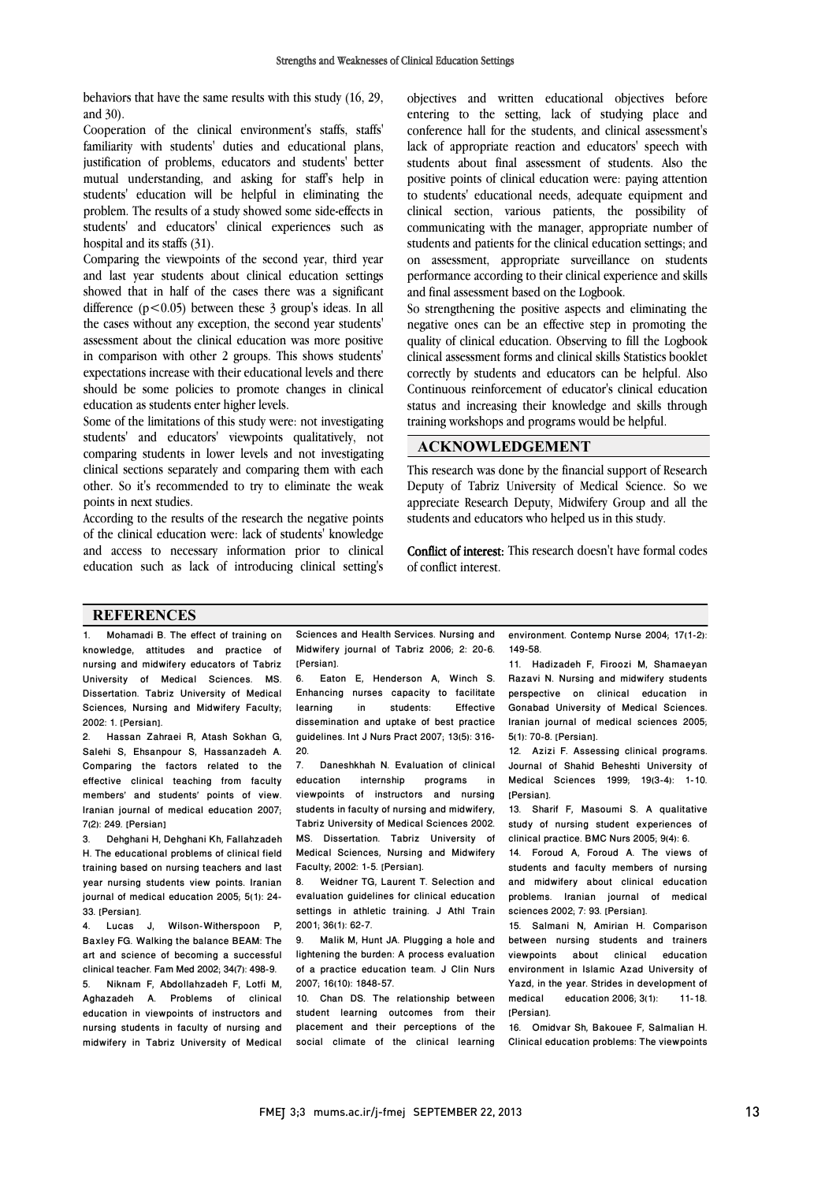behaviors that have the same results with this study (16, 29, and 30).

Cooperation of the clinical environment's staffs, staffs' familiarity with students' duties and educational plans, justification of problems, educators and students' better mutual understanding, and asking for staff's help in students' education will be helpful in eliminating the problem. The results of a study showed some side-effects in students' and educators' clinical experiences such as hospital and its staffs (31).

Comparing the viewpoints of the second year, third year and last year students about clinical education settings showed that in half of the cases there was a significant difference  $(p<0.05)$  between these 3 group's ideas. In all the cases without any exception, the second year students' assessment about the clinical education was more positive in comparison with other 2 groups. This shows students' expectations increase with their educational levels and there should be some policies to promote changes in clinical education as students enter higher levels.

Some of the limitations of this study were: not investigating students' and educators' viewpoints qualitatively, not comparing students in lower levels and not investigating clinical sections separately and comparing them with each other. So it's recommended to try to eliminate the weak points in next studies.

According to the results of the research the negative points of the clinical education were: lack of students' knowledge and access to necessary information prior to clinical education such as lack of introducing clinical setting's objectives and written educational objectives before entering to the setting, lack of studying place and conference hall for the students, and clinical assessment's lack of appropriate reaction and educators' speech with students about final assessment of students. Also the positive points of clinical education were: paying attention to students' educational needs, adequate equipment and clinical section, various patients, the possibility of communicating with the manager, appropriate number of students and patients for the clinical education settings; and on assessment, appropriate surveillance on students performance according to their clinical experience and skills and final assessment based on the Logbook.

So strengthening the positive aspects and eliminating the negative ones can be an effective step in promoting the quality of clinical education. Observing to fill the Logbook clinical assessment forms and clinical skills Statistics booklet correctly by students and educators can be helpful. Also Continuous reinforcement of educator's clinical education status and increasing their knowledge and skills through training workshops and programs would be helpful.

#### **ACKNOWLEDGEMENT**

This research was done by the financial support of Research Deputy of Tabriz University of Medical Science. So we appreciate Research Deputy, Midwifery Group and all the students and educators who helped us in this study.

Conflict of interest: This research doesn't have formal codes of conflict interest.

#### **REFERENCES**

1. Mohamadi B. The effect of training on knowledge, attitudes and practice of nursing and midwifery educators of Tabriz University of Medical Sciences. MS. Dissertation. Tabriz University of Medical Sciences, Nursing and Midwifery Faculty; 2002: 1. [Persian].

2. Hassan Zahraei R, Atash Sokhan G, Salehi S, Ehsanpour S, Hassanzadeh A. Comparing the factors related to the effective clinical teaching from faculty members' and students' points of view. Iranian journal of medical education 2007; 7(2): 249. [Persian]

3. Dehghani H, Dehghani Kh, Fallahzadeh H. The educational problems of clinical field training based on nursing teachers and last year nursing students view points. Iranian journal of medical education 2005; 5(1): 24- 33. [Persian].

4. Lucas J, Wilson-Witherspoon P, Baxley FG. Walking the balance BEAM: The art and science of becoming a successful clinical teacher. Fam Med 2002; 34(7): 498-9. 5. Niknam F, Abdollahzadeh F, Lotfi M, Aghazadeh A. Problems of clinical education in viewpoints of instructors and nursing students in faculty of nursing and midwifery in Tabriz University of Medical Sciences and Health Services. Nursing and Midwifery journal of Tabriz 2006; 2: 20-6. [Persian].

6. Eaton E, Henderson A, Winch S. Enhancing nurses capacity to facilitate learning in students: Effective dissemination and uptake of best practice guidelines. Int J Nurs Pract 2007; 13(5): 316- 20.

7. Daneshkhah N. Evaluation of clinical<br>education internship programs in programs viewpoints of instructors and nursing students in faculty of nursing and midwifery, Tabriz University of Medical Sciences 2002. MS. Dissertation. Tabriz University of Medical Sciences, Nursing and Midwifery Faculty; 2002: 1-5. [Persian].

8. Weidner TG, Laurent T. Selection and evaluation guidelines for clinical education settings in athletic training. J Athl Train 2001; 36(1): 62-7.

9. Malik M, Hunt JA. Plugging a hole and lightening the burden: A process evaluation of a practice education team. J Clin Nurs 2007; 16(10): 1848-57.

10. Chan DS. The relationship between student learning outcomes from their placement and their perceptions of the social climate of the clinical learning

environment. Contemp Nurse 2004; 17(1-2): 149-58.

11. Hadizadeh F, Firoozi M, Shamaeyan Razavi N. Nursing and midwifery students perspective on clinical education in Gonabad University of Medical Sciences. Iranian journal of medical sciences 2005; 5(1): 70-8. [Persian].

12. Azizi F. Assessing clinical programs. Journal of Shahid Beheshti University of Medical Sciences 1999; 19(3-4): 1-10. [Persian].

13. Sharif F, Masoumi S. A qualitative study of nursing student experiences of clinical practice. BMC Nurs 2005; 9(4): 6.

14. Foroud A, Foroud A. The views of students and faculty members of nursing and midwifery about clinical education problems. Iranian journal of medical sciences 2002; 7: 93. [Persian].

15. Salmani N, Amirian H. Comparison between nursing students and trainers<br>viewpoints about clinical education viewpoints about clinical environment in Islamic Azad University of Yazd, in the year. Strides in development of medical education 2006; 3(1): 11-18. [Persian].

16. Omidvar Sh, Bakouee F, Salmalian H. Clinical education problems: The viewpoints